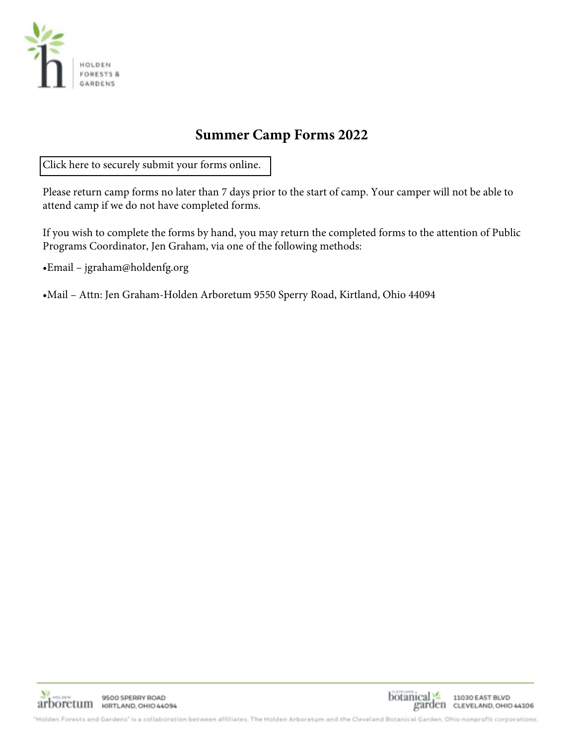

# **Summer Camp Forms 2022**

[Click here to securely submit your forms online.](https://holdenfg.org/holden-arboretum-summer-camp-info-forms/) 

Please return camp forms no later than 7 days prior to the start of camp. Your camper will not be able to attend camp if we do not have completed forms.

If you wish to complete the forms by hand, you may return the completed forms to the attention of Public Programs Coordinator, Jen Graham, via one of the following methods:

•Email – jgraham@holdenfg.org

•Mail – Attn: Jen Graham-Holden Arboretum 9550 Sperry Road, Kirtland, Ohio 44094



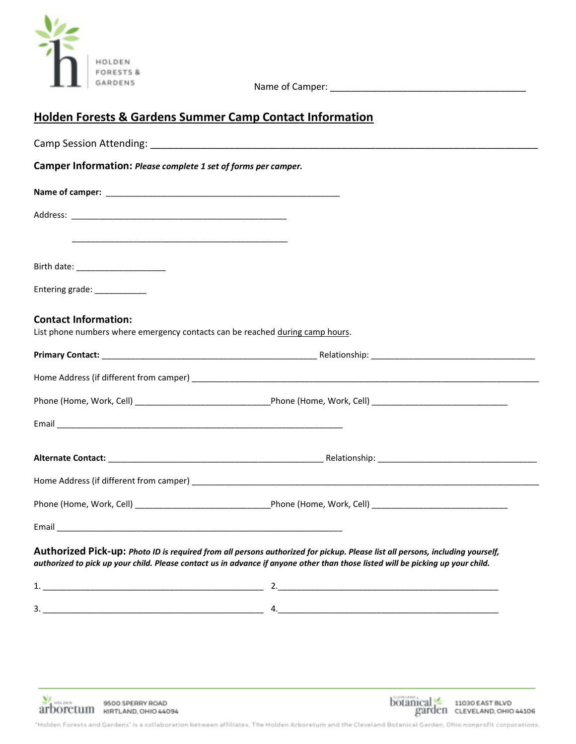

Name of Camper: \_\_\_\_\_\_\_\_\_\_\_\_\_\_\_\_\_\_\_\_\_\_\_\_\_\_\_\_\_\_\_\_\_\_\_\_\_\_

## **Holden Forests & Gardens Summer Camp Contact Information**

| Camper Information: Please complete 1 set of forms per camper.                                                      |                                                                                                                                                                                                                                                                  |
|---------------------------------------------------------------------------------------------------------------------|------------------------------------------------------------------------------------------------------------------------------------------------------------------------------------------------------------------------------------------------------------------|
|                                                                                                                     |                                                                                                                                                                                                                                                                  |
|                                                                                                                     |                                                                                                                                                                                                                                                                  |
| <u> 1989 - Johann John Stoff, deutscher Stoffen und der Stoffen und der Stoffen und der Stoffen und der Stoffen</u> |                                                                                                                                                                                                                                                                  |
| Birth date: _______________________                                                                                 |                                                                                                                                                                                                                                                                  |
| Entering grade: ____________                                                                                        |                                                                                                                                                                                                                                                                  |
| <b>Contact Information:</b>                                                                                         |                                                                                                                                                                                                                                                                  |
| List phone numbers where emergency contacts can be reached during camp hours.                                       |                                                                                                                                                                                                                                                                  |
|                                                                                                                     |                                                                                                                                                                                                                                                                  |
|                                                                                                                     |                                                                                                                                                                                                                                                                  |
|                                                                                                                     |                                                                                                                                                                                                                                                                  |
|                                                                                                                     |                                                                                                                                                                                                                                                                  |
|                                                                                                                     |                                                                                                                                                                                                                                                                  |
|                                                                                                                     |                                                                                                                                                                                                                                                                  |
|                                                                                                                     |                                                                                                                                                                                                                                                                  |
|                                                                                                                     |                                                                                                                                                                                                                                                                  |
|                                                                                                                     | Authorized Pick-up: Photo ID is required from all persons authorized for pickup. Please list all persons, including yourself,<br>authorized to pick up your child. Please contact us in advance if anyone other than those listed will be picking up your child. |
|                                                                                                                     |                                                                                                                                                                                                                                                                  |
|                                                                                                                     |                                                                                                                                                                                                                                                                  |





"Holden Forests and Gardens" is a collaboration between affiliates, The Holden Arboretum and the Cleveland Botanical Garden, Ohio nonprofit corporations,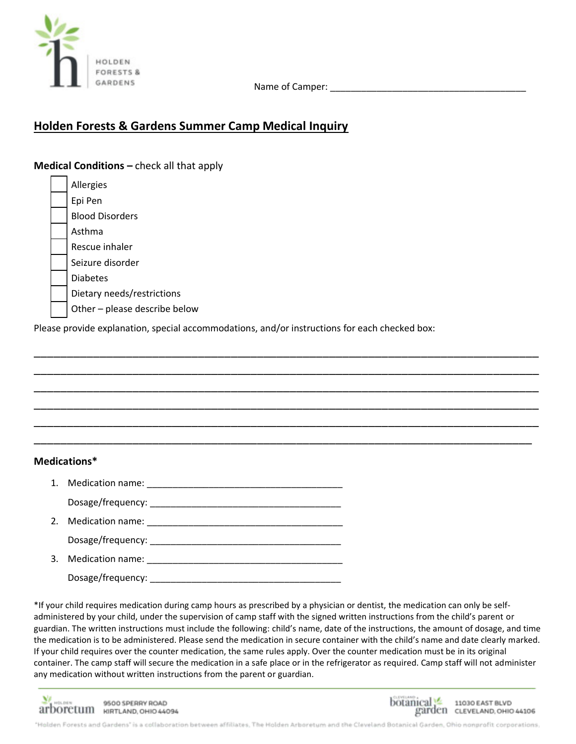

Name of Camper: \_\_\_\_\_\_\_\_\_\_\_\_\_\_\_\_\_\_\_\_\_\_\_\_\_\_\_\_\_\_\_\_\_\_\_\_\_\_

## **Holden Forests & Gardens Summer Camp Medical Inquiry**

**Medical Conditions –** check all that apply

Allergies Epi Pen Blood Disorders Asthma Rescue inhaler Seizure disorder Diabetes Dietary needs/restrictions Other – please describe below

Please provide explanation, special accommodations, and/or instructions for each checked box:

\_\_\_\_\_\_\_\_\_\_\_\_\_\_\_\_\_\_\_\_\_\_\_\_\_\_\_\_\_\_\_\_\_\_\_\_\_\_\_\_\_\_\_\_\_\_\_\_\_\_\_\_\_\_\_\_\_\_\_\_\_\_\_\_\_\_\_\_\_\_\_\_\_\_\_\_\_ \_\_\_\_\_\_\_\_\_\_\_\_\_\_\_\_\_\_\_\_\_\_\_\_\_\_\_\_\_\_\_\_\_\_\_\_\_\_\_\_\_\_\_\_\_\_\_\_\_\_\_\_\_\_\_\_\_\_\_\_\_\_\_\_\_\_\_\_\_\_\_\_\_\_\_\_\_ \_\_\_\_\_\_\_\_\_\_\_\_\_\_\_\_\_\_\_\_\_\_\_\_\_\_\_\_\_\_\_\_\_\_\_\_\_\_\_\_\_\_\_\_\_\_\_\_\_\_\_\_\_\_\_\_\_\_\_\_\_\_\_\_\_\_\_\_\_\_\_\_\_\_\_\_\_ \_\_\_\_\_\_\_\_\_\_\_\_\_\_\_\_\_\_\_\_\_\_\_\_\_\_\_\_\_\_\_\_\_\_\_\_\_\_\_\_\_\_\_\_\_\_\_\_\_\_\_\_\_\_\_\_\_\_\_\_\_\_\_\_\_\_\_\_\_\_\_\_\_\_\_\_\_ \_\_\_\_\_\_\_\_\_\_\_\_\_\_\_\_\_\_\_\_\_\_\_\_\_\_\_\_\_\_\_\_\_\_\_\_\_\_\_\_\_\_\_\_\_\_\_\_\_\_\_\_\_\_\_\_\_\_\_\_\_\_\_\_\_\_\_\_\_\_\_\_\_\_\_\_\_ \_\_\_\_\_\_\_\_\_\_\_\_\_\_\_\_\_\_\_\_\_\_\_\_\_\_\_\_\_\_\_\_\_\_\_\_\_\_\_\_\_\_\_\_\_\_\_\_\_\_\_\_\_\_\_\_\_\_\_\_\_\_\_\_\_\_\_\_\_\_\_\_\_\_\_\_

## **Medications\***

- 1. Medication name: \_\_\_\_\_\_\_\_\_\_\_\_\_\_\_\_\_\_\_\_\_\_\_\_\_\_\_\_\_\_\_\_\_\_\_\_\_\_ Dosage/frequency:
- 2. Medication name: Dosage/frequency: \_\_\_\_\_\_\_\_\_\_\_\_\_\_\_\_\_\_\_\_\_\_\_\_\_\_\_\_\_\_\_\_\_\_\_\_\_
- 3. Medication name:

Dosage/frequency: \_\_\_\_\_\_\_\_\_\_\_\_\_\_\_\_\_\_\_\_\_\_\_\_\_\_\_\_\_\_\_\_\_\_\_\_\_

\*If your child requires medication during camp hours as prescribed by a physician or dentist, the medication can only be selfadministered by your child, under the supervision of camp staff with the signed written instructions from the child's parent or guardian. The written instructions must include the following: child's name, date of the instructions, the amount of dosage, and time the medication is to be administered. Please send the medication in secure container with the child's name and date clearly marked. If your child requires over the counter medication, the same rules apply. Over the counter medication must be in its original container. The camp staff will secure the medication in a safe place or in the refrigerator as required. Camp staff will not administer any medication without written instructions from the parent or guardian.

 $\Sigma^{\prime}$  holder 9500 SPERRY ROAD arboretum KIRTLAND, OHIO 44094



'Holden Forests and Gardens' is a collaboration between affiliates. The Holden Arboretum and the Cleveland Botanical Garden, Ohio nonprofit corporations,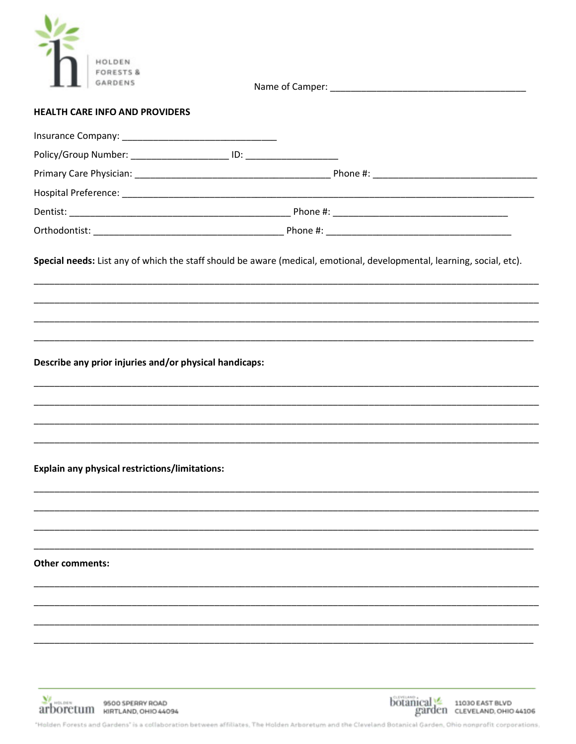| <b>HEALTH CARE INFO AND PROVIDERS</b>                  |  |
|--------------------------------------------------------|--|
|                                                        |  |
|                                                        |  |
|                                                        |  |
|                                                        |  |
|                                                        |  |
|                                                        |  |
|                                                        |  |
| Describe any prior injuries and/or physical handicaps: |  |
| <b>Explain any physical restrictions/limitations:</b>  |  |
|                                                        |  |
|                                                        |  |
|                                                        |  |
| Other comments:                                        |  |
|                                                        |  |
|                                                        |  |
|                                                        |  |
|                                                        |  |
|                                                        |  |





"Holden Forests and Gardens" is a collaboration between affiliates, The Holden Arboretum and the Cleveland Botanical Garden, Ohio nonprofit corporations,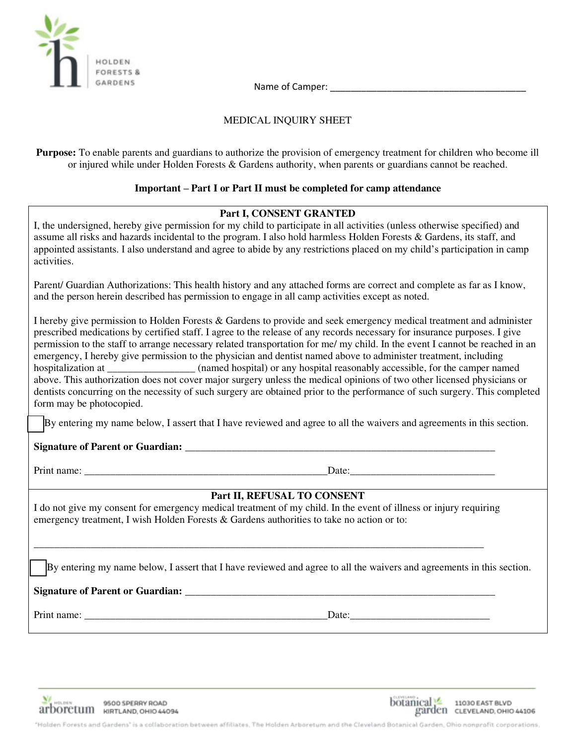

Name of Camper: **with a set of Camper**  $\sim$ 

#### MEDICAL INQUIRY SHEET

**Purpose:** To enable parents and guardians to authorize the provision of emergency treatment for children who become ill or injured while under Holden Forests & Gardens authority, when parents or guardians cannot be reached.

#### **Important – Part I or Part II must be completed for camp attendance**

#### **Part I, CONSENT GRANTED**

I, the undersigned, hereby give permission for my child to participate in all activities (unless otherwise specified) and assume all risks and hazards incidental to the program. I also hold harmless Holden Forests & Gardens, its staff, and appointed assistants. I also understand and agree to abide by any restrictions placed on my child's participation in camp activities. Parent/ Guardian Authorizations: This health history and any attached forms are correct and complete as far as I know, and the person herein described has permission to engage in all camp activities except as noted. I hereby give permission to Holden Forests & Gardens to provide and seek emergency medical treatment and administer prescribed medications by certified staff. I agree to the release of any records necessary for insurance purposes. I give permission to the staff to arrange necessary related transportation for me/ my child. In the event I cannot be reached in an emergency, I hereby give permission to the physician and dentist named above to administer treatment, including hospitalization at  $\qquad \qquad \qquad$  (named hospital) or any hospital reasonably accessible, for the camper named above. This authorization does not cover major surgery unless the medical opinions of two other licensed physicians or dentists concurring on the necessity of such surgery are obtained prior to the performance of such surgery. This completed form may be photocopied. By entering my name below, I assert that I have reviewed and agree to all the waivers and agreements in this section. Signature of Parent or Guardian: Print name:  $\Box$ **Part II, REFUSAL TO CONSENT**  I do not give my consent for emergency medical treatment of my child. In the event of illness or injury requiring emergency treatment, I wish Holden Forests & Gardens authorities to take no action or to: \_\_\_\_\_\_\_\_\_\_\_\_\_\_\_\_\_\_\_\_\_\_\_\_\_\_\_\_\_\_\_\_\_\_\_\_\_\_\_\_\_\_\_\_\_\_\_\_\_\_\_\_\_\_\_\_\_\_\_\_\_\_\_\_\_\_\_\_\_\_\_\_\_\_\_\_\_\_\_\_\_\_\_\_\_\_\_ By entering my name below, I assert that I have reviewed and agree to all the waivers and agreements in this section. **Signature of Parent or Guardian:** \_\_\_\_\_\_\_\_\_\_\_\_\_\_\_\_\_\_\_\_\_\_\_\_\_\_\_\_\_\_\_\_\_\_\_\_\_\_\_\_\_\_\_\_\_\_\_\_\_\_\_\_\_\_\_\_\_\_\_\_ Print name:  $\Box$ 





"Holden Forests and Gardens" is a collaboration between affiliates, The Holden Arboretum and the Cleveland Botanical Garden, Ohio nonprofit corporations,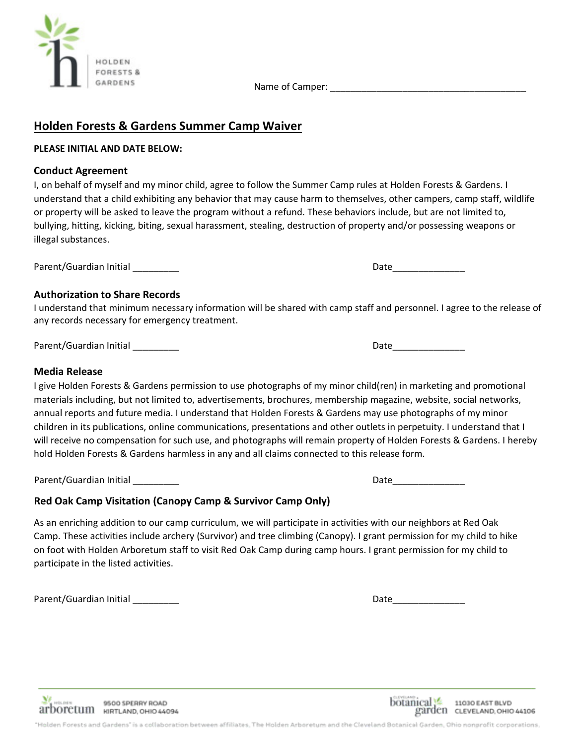Name of Camper: \_\_\_\_\_\_\_\_\_\_\_\_\_\_\_\_\_\_\_\_\_\_\_\_\_\_\_\_\_\_\_\_\_\_\_\_\_\_

## **Holden Forests & Gardens Summer Camp Waiver**

#### **PLEASE INITIAL AND DATE BELOW:**

## **Conduct Agreement**

I, on behalf of myself and my minor child, agree to follow the Summer Camp rules at Holden Forests & Gardens. I understand that a child exhibiting any behavior that may cause harm to themselves, other campers, camp staff, wildlife or property will be asked to leave the program without a refund. These behaviors include, but are not limited to, bullying, hitting, kicking, biting, sexual harassment, stealing, destruction of property and/or possessing weapons or illegal substances.

Parent/Guardian Initial \_\_\_\_\_\_\_\_\_ Date\_\_\_\_\_\_\_\_\_\_\_\_\_\_

## **Authorization to Share Records**

I understand that minimum necessary information will be shared with camp staff and personnel. I agree to the release of any records necessary for emergency treatment.

Parent/Guardian Initial and the control of the control of the control of the Date of Date Date of the Control o

### **Media Release**

I give Holden Forests & Gardens permission to use photographs of my minor child(ren) in marketing and promotional materials including, but not limited to, advertisements, brochures, membership magazine, website, social networks, annual reports and future media. I understand that Holden Forests & Gardens may use photographs of my minor children in its publications, online communications, presentations and other outlets in perpetuity. I understand that I will receive no compensation for such use, and photographs will remain property of Holden Forests & Gardens. I hereby hold Holden Forests & Gardens harmless in any and all claims connected to this release form.

Parent/Guardian Initial \_\_\_\_\_\_\_\_\_ Date\_\_\_\_\_\_\_\_\_\_\_\_\_\_

## **Red Oak Camp Visitation (Canopy Camp & Survivor Camp Only)**

As an enriching addition to our camp curriculum, we will participate in activities with our neighbors at Red Oak Camp. These activities include archery (Survivor) and tree climbing (Canopy). I grant permission for my child to hike on foot with Holden Arboretum staff to visit Red Oak Camp during camp hours. I grant permission for my child to participate in the listed activities.

Parent/Guardian Initial \_\_\_\_\_\_\_\_\_ Date\_\_\_\_\_\_\_\_\_\_\_\_\_\_







'Holden Forests and Gardens' is a collaboration between affiliates. The Holden Arboretum and the Cleveland Botanical Garden, Ohio nonprofit corporations,